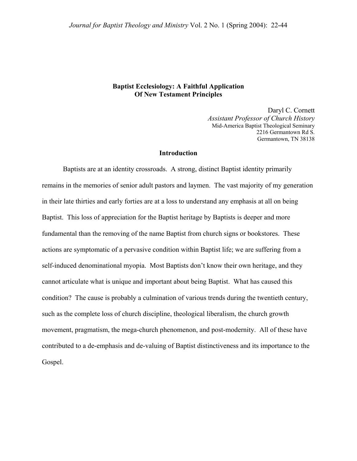### **Baptist Ecclesiology: A Faithful Application Of New Testament Principles**

Daryl C. Cornett *Assistant Professor of Church History*  Mid-America Baptist Theological Seminary 2216 Germantown Rd S. Germantown, TN 38138

#### **Introduction**

Baptists are at an identity crossroads. A strong, distinct Baptist identity primarily remains in the memories of senior adult pastors and laymen. The vast majority of my generation in their late thirties and early forties are at a loss to understand any emphasis at all on being Baptist. This loss of appreciation for the Baptist heritage by Baptists is deeper and more fundamental than the removing of the name Baptist from church signs or bookstores. These actions are symptomatic of a pervasive condition within Baptist life; we are suffering from a self-induced denominational myopia. Most Baptists don't know their own heritage, and they cannot articulate what is unique and important about being Baptist. What has caused this condition? The cause is probably a culmination of various trends during the twentieth century, such as the complete loss of church discipline, theological liberalism, the church growth movement, pragmatism, the mega-church phenomenon, and post-modernity. All of these have contributed to a de-emphasis and de-valuing of Baptist distinctiveness and its importance to the Gospel.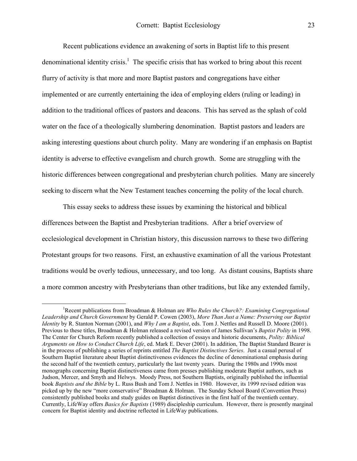Recent publications evidence an awakening of sorts in Baptist life to this present denominational identity crisis.<sup>[1](#page-1-0)</sup> The specific crisis that has worked to bring about this recent flurry of activity is that more and more Baptist pastors and congregations have either implemented or are currently entertaining the idea of employing elders (ruling or leading) in addition to the traditional offices of pastors and deacons. This has served as the splash of cold water on the face of a theologically slumbering denomination. Baptist pastors and leaders are asking interesting questions about church polity. Many are wondering if an emphasis on Baptist identity is adverse to effective evangelism and church growth. Some are struggling with the historic differences between congregational and presbyterian church polities. Many are sincerely seeking to discern what the New Testament teaches concerning the polity of the local church.

This essay seeks to address these issues by examining the historical and biblical differences between the Baptist and Presbyterian traditions. After a brief overview of ecclesiological development in Christian history, this discussion narrows to these two differing Protestant groups for two reasons. First, an exhaustive examination of all the various Protestant traditions would be overly tedious, unnecessary, and too long. As distant cousins, Baptists share a more common ancestry with Presbyterians than other traditions, but like any extended family,

<span id="page-1-0"></span><sup>&</sup>lt;u>1</u> Recent publications from Broadman & Holman are *Who Rules the Church?: Examining Congregational Leadership and Church Government* by Gerald P. Cowen (2003), *More Than Just a Name: Preserving our Baptist Identity* by R. Stanton Norman (2001), and *Why I am a Baptist*, eds. Tom J. Nettles and Russell D. Moore (2001). Previous to these titles, Broadman & Holman released a revised version of James Sullivan's *Baptist Polity* in 1998. The Center for Church Reform recently published a collection of essays and historic documents, *Polity: Biblical Arguments on How to Conduct Church Life*, ed. Mark E. Dever (2001). In addition, The Baptist Standard Bearer is in the process of publishing a series of reprints entitled *The Baptist Distinctives Series*. Just a casual perusal of Southern Baptist literature about Baptist distinctiveness evidences the decline of denominational emphasis during the second half of the twentieth century, particularly the last twenty years. During the 1980s and 1990s most monographs concerning Baptist distinctiveness came from presses publishing moderate Baptist authors, such as Judson, Mercer, and Smyth and Helwys. Moody Press, not Southern Baptists, originally published the influential book *Baptists and the Bible* by L. Russ Bush and Tom J. Nettles in 1980. However, its 1999 revised edition was picked up by the new "more conservative" Broadman & Holman. The Sunday School Board (Convention Press) consistently published books and study guides on Baptist distinctives in the first half of the twentieth century. Currently, LifeWay offers *Basics for Baptists* (1989) discipleship curriculum. However, there is presently marginal concern for Baptist identity and doctrine reflected in LifeWay publications.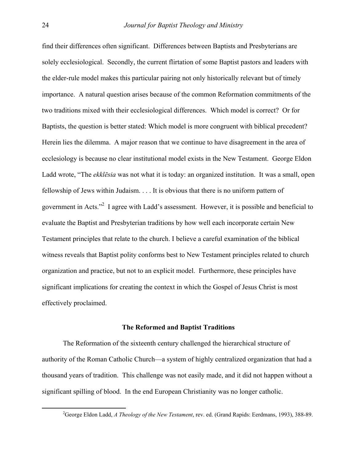find their differences often significant. Differences between Baptists and Presbyterians are solely ecclesiological. Secondly, the current flirtation of some Baptist pastors and leaders with the elder-rule model makes this particular pairing not only historically relevant but of timely importance. A natural question arises because of the common Reformation commitments of the two traditions mixed with their ecclesiological differences. Which model is correct? Or for Baptists, the question is better stated: Which model is more congruent with biblical precedent? Herein lies the dilemma. A major reason that we continue to have disagreement in the area of ecclesiology is because no clear institutional model exists in the New Testament. George Eldon Ladd wrote, "The *ekklēsia* was not what it is today: an organized institution. It was a small, open fellowship of Jews within Judaism. . . . It is obvious that there is no uniform pattern of government in Acts."<sup>[2](#page-2-0)</sup> I agree with Ladd's assessment. However, it is possible and beneficial to evaluate the Baptist and Presbyterian traditions by how well each incorporate certain New Testament principles that relate to the church. I believe a careful examination of the biblical witness reveals that Baptist polity conforms best to New Testament principles related to church organization and practice, but not to an explicit model. Furthermore, these principles have significant implications for creating the context in which the Gospel of Jesus Christ is most effectively proclaimed.

## **The Reformed and Baptist Traditions**

The Reformation of the sixteenth century challenged the hierarchical structure of authority of the Roman Catholic Church—a system of highly centralized organization that had a thousand years of tradition. This challenge was not easily made, and it did not happen without a significant spilling of blood. In the end European Christianity was no longer catholic.

<span id="page-2-0"></span> $\frac{1}{2}$ George Eldon Ladd, *A Theology of the New Testament*, rev. ed. (Grand Rapids: Eerdmans, 1993), 388-89.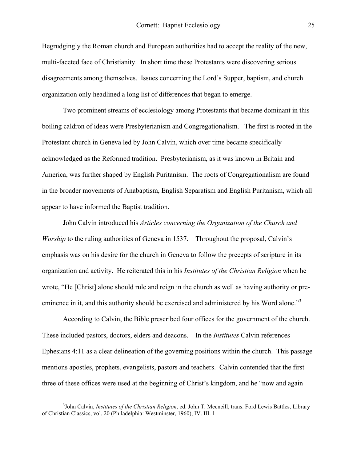Begrudgingly the Roman church and European authorities had to accept the reality of the new, multi-faceted face of Christianity. In short time these Protestants were discovering serious disagreements among themselves. Issues concerning the Lord's Supper, baptism, and church organization only headlined a long list of differences that began to emerge.

Two prominent streams of ecclesiology among Protestants that became dominant in this boiling caldron of ideas were Presbyterianism and Congregationalism. The first is rooted in the Protestant church in Geneva led by John Calvin, which over time became specifically acknowledged as the Reformed tradition. Presbyterianism, as it was known in Britain and America, was further shaped by English Puritanism. The roots of Congregationalism are found in the broader movements of Anabaptism, English Separatism and English Puritanism, which all appear to have informed the Baptist tradition.

John Calvin introduced his *Articles concerning the Organization of the Church and Worship* to the ruling authorities of Geneva in 1537. Throughout the proposal, Calvin's emphasis was on his desire for the church in Geneva to follow the precepts of scripture in its organization and activity. He reiterated this in his *Institutes of the Christian Religion* when he wrote, "He [Christ] alone should rule and reign in the church as well as having authority or preeminencein it, and this authority should be exercised and administered by his Word alone."<sup>3</sup>

According to Calvin, the Bible prescribed four offices for the government of the church. These included pastors, doctors, elders and deacons. In the *Institutes* Calvin references Ephesians 4:11 as a clear delineation of the governing positions within the church. This passage mentions apostles, prophets, evangelists, pastors and teachers. Calvin contended that the first three of these offices were used at the beginning of Christ's kingdom, and he "now and again

<span id="page-3-0"></span> <sup>3</sup> <sup>3</sup>John Calvin, *Institutes of the Christian Religion*, ed. John T. Mecneill, trans. Ford Lewis Battles, Library of Christian Classics, vol. 20 (Philadelphia: Westminster, 1960), IV. III. 1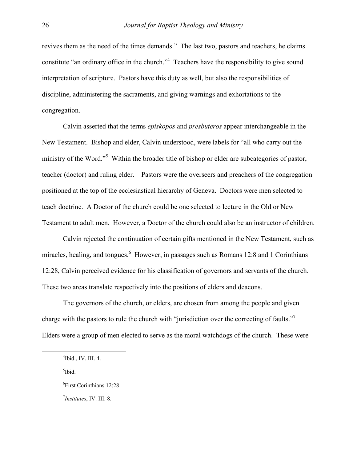revives them as the need of the times demands." The last two, pastors and teachers, he claims constitute "an ordinary office in the church."<sup>4</sup> Teachers have the responsibility to give sound interpretation of scripture. Pastors have this duty as well, but also the responsibilities of discipline, administering the sacraments, and giving warnings and exhortations to the congregation.

Calvin asserted that the terms *episkopos* and *presbuteros* appear interchangeable in the New Testament. Bishop and elder, Calvin understood, were labels for "all who carry out the ministryof the Word."<sup>5</sup> Within the broader title of bishop or elder are subcategories of pastor, teacher (doctor) and ruling elder. Pastors were the overseers and preachers of the congregation positioned at the top of the ecclesiastical hierarchy of Geneva. Doctors were men selected to teach doctrine. A Doctor of the church could be one selected to lecture in the Old or New Testament to adult men. However, a Doctor of the church could also be an instructor of children.

Calvin rejected the continuation of certain gifts mentioned in the New Testament, such as miracles, healing, and tongues.<sup>[6](#page-4-2)</sup> However, in passages such as Romans 12:8 and 1 Corinthians 12:28, Calvin perceived evidence for his classification of governors and servants of the church. These two areas translate respectively into the positions of elders and deacons.

The governors of the church, or elders, are chosen from among the people and given charge with the pastors to rule the church with "jurisdiction over the correcting of faults."<sup>[7](#page-4-3)</sup> Elders were a group of men elected to serve as the moral watchdogs of the church. These were

<span id="page-4-1"></span><span id="page-4-0"></span><sup>5</sup>Ibid.

 $\frac{1}{4}$  $\rm ^4Ibid., IV. III. 4.$ 

<span id="page-4-2"></span><sup>6</sup> First Corinthians 12:28

<span id="page-4-3"></span><sup>7</sup> *Institutes*, IV. III. 8.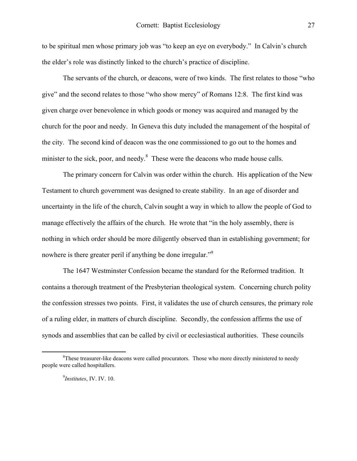to be spiritual men whose primary job was "to keep an eye on everybody." In Calvin's church the elder's role was distinctly linked to the church's practice of discipline.

The servants of the church, or deacons, were of two kinds. The first relates to those "who give" and the second relates to those "who show mercy" of Romans 12:8. The first kind was given charge over benevolence in which goods or money was acquired and managed by the church for the poor and needy. In Geneva this duty included the management of the hospital of the city. The second kind of deacon was the one commissioned to go out to the homes and minister to the sick, poor, and needy. $<sup>8</sup>$  $<sup>8</sup>$  $<sup>8</sup>$  These were the deacons who made house calls.</sup>

The primary concern for Calvin was order within the church. His application of the New Testament to church government was designed to create stability. In an age of disorder and uncertainty in the life of the church, Calvin sought a way in which to allow the people of God to manage effectively the affairs of the church. He wrote that "in the holy assembly, there is nothing in which order should be more diligently observed than in establishing government; for nowhere is there greater peril if anything be done irregular."<sup>[9](#page-5-1)</sup>

The 1647 Westminster Confession became the standard for the Reformed tradition. It contains a thorough treatment of the Presbyterian theological system. Concerning church polity the confession stresses two points. First, it validates the use of church censures, the primary role of a ruling elder, in matters of church discipline. Secondly, the confession affirms the use of synods and assemblies that can be called by civil or ecclesiastical authorities. These councils

 $\frac{1}{8}$ <sup>8</sup>These treasurer-like deacons were called procurators. Those who more directly ministered to needy people were called hospitallers.

<span id="page-5-1"></span><span id="page-5-0"></span><sup>9</sup> *Institutes*, IV. IV. 10.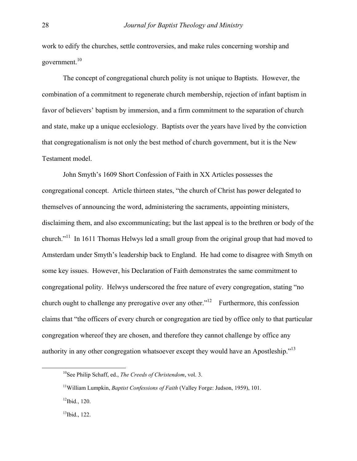work to edify the churches, settle controversies, and make rules concerning worship and government.<sup>[10](#page-6-0)</sup>

 The concept of congregational church polity is not unique to Baptists. However, the combination of a commitment to regenerate church membership, rejection of infant baptism in favor of believers' baptism by immersion, and a firm commitment to the separation of church and state, make up a unique ecclesiology. Baptists over the years have lived by the conviction that congregationalism is not only the best method of church government, but it is the New Testament model.

 John Smyth's 1609 Short Confession of Faith in XX Articles possesses the congregational concept. Article thirteen states, "the church of Christ has power delegated to themselves of announcing the word, administering the sacraments, appointing ministers, disclaiming them, and also excommunicating; but the last appeal is to the brethren or body of the church."[11](#page-6-1) In 1611 Thomas Helwys led a small group from the original group that had moved to Amsterdam under Smyth's leadership back to England. He had come to disagree with Smyth on some key issues. However, his Declaration of Faith demonstrates the same commitment to congregational polity. Helwys underscored the free nature of every congregation, stating "no church ought to challenge any prerogative over any other."<sup>12</sup> Furthermore, this confession claims that "the officers of every church or congregation are tied by office only to that particular congregation whereof they are chosen, and therefore they cannot challenge by office any authority in any other congregation whatsoever except they would have an Apostleship.["13](#page-6-3) 

<span id="page-6-0"></span> <sup>10</sup>See Philip Schaff, ed., *The Creeds of Christendom*, vol. 3.

<span id="page-6-1"></span><sup>11</sup>William Lumpkin, *Baptist Confessions of Faith* (Valley Forge: Judson, 1959), 101.

<span id="page-6-2"></span> $12$ Ibid., 120.

<span id="page-6-3"></span> $13$ Ibid., 122.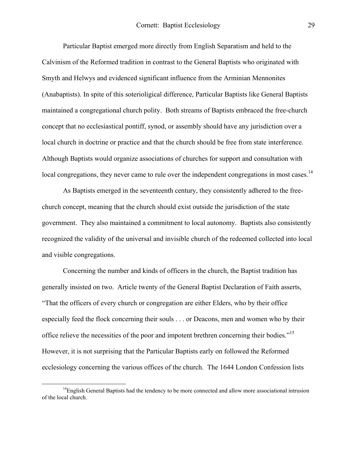Particular Baptist emerged more directly from English Separatism and held to the Calvinism of the Reformed tradition in contrast to the General Baptists who originated with Smyth and Helwys and evidenced significant influence from the Arminian Mennonites (Anabaptists). In spite of this soterioligical difference, Particular Baptists like General Baptists maintained a congregational church polity. Both streams of Baptists embraced the free-church concept that no ecclesiastical pontiff, synod, or assembly should have any jurisdiction over a local church in doctrine or practice and that the church should be free from state interference. Although Baptists would organize associations of churches for support and consultation with local congregations, they never came to rule over the independent congregations in most cases.<sup>14</sup>

As Baptists emerged in the seventeenth century, they consistently adhered to the freechurch concept, meaning that the church should exist outside the jurisdiction of the state government. They also maintained a commitment to local autonomy. Baptists also consistently recognized the validity of the universal and invisible church of the redeemed collected into local and visible congregations.

 Concerning the number and kinds of officers in the church, the Baptist tradition has generally insisted on two. Article twenty of the General Baptist Declaration of Faith asserts, "That the officers of every church or congregation are either Elders, who by their office especially feed the flock concerning their souls . . . or Deacons, men and women who by their office relieve the necessities of the poor and impotent brethren concerning their bodies."<sup>15</sup> However, it is not surprising that the Particular Baptists early on followed the Reformed ecclesiology concerning the various offices of the church. The 1644 London Confession lists

<span id="page-7-1"></span><span id="page-7-0"></span><sup>&</sup>lt;sup>14</sup>English General Baptists had the tendency to be more connected and allow more associational intrusion of the local church.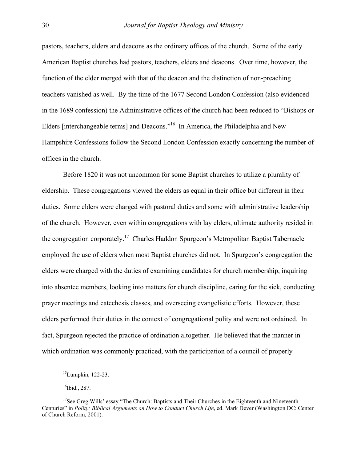pastors, teachers, elders and deacons as the ordinary offices of the church. Some of the early American Baptist churches had pastors, teachers, elders and deacons. Over time, however, the function of the elder merged with that of the deacon and the distinction of non-preaching teachers vanished as well. By the time of the 1677 Second London Confession (also evidenced in the 1689 confession) the Administrative offices of the church had been reduced to "Bishops or Elders [interchangeable terms] and Deacons."[16](#page-8-0) In America, the Philadelphia and New Hampshire Confessions follow the Second London Confession exactly concerning the number of offices in the church.

Before 1820 it was not uncommon for some Baptist churches to utilize a plurality of eldership. These congregations viewed the elders as equal in their office but different in their duties. Some elders were charged with pastoral duties and some with administrative leadership of the church. However, even within congregations with lay elders, ultimate authority resided in the congregation corporately.<sup>17</sup> Charles Haddon Spurgeon's Metropolitan Baptist Tabernacle employed the use of elders when most Baptist churches did not. In Spurgeon's congregation the elders were charged with the duties of examining candidates for church membership, inquiring into absentee members, looking into matters for church discipline, caring for the sick, conducting prayer meetings and catechesis classes, and overseeing evangelistic efforts. However, these elders performed their duties in the context of congregational polity and were not ordained. In fact, Spurgeon rejected the practice of ordination altogether. He believed that the manner in which ordination was commonly practiced, with the participation of a council of properly

 <sup>15</sup>Lumpkin, 122-23.

<span id="page-8-1"></span><span id="page-8-0"></span> $16$ Ibid., 287.

 $17$ See Greg Wills' essay "The Church: Baptists and Their Churches in the Eighteenth and Nineteenth Centuries" in *Polity: Biblical Arguments on How to Conduct Church Life*, ed. Mark Dever (Washington DC: Center of Church Reform, 2001).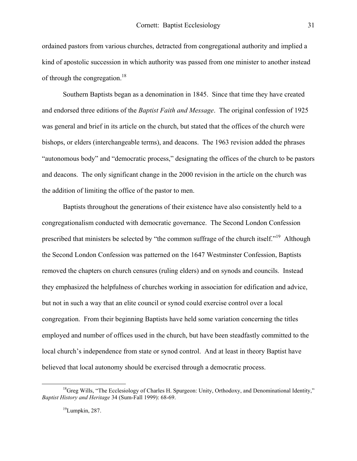ordained pastors from various churches, detracted from congregational authority and implied a kind of apostolic succession in which authority was passed from one minister to another instead of through the congregation.<sup>18</sup>

 Southern Baptists began as a denomination in 1845. Since that time they have created and endorsed three editions of the *Baptist Faith and Message*. The original confession of 1925 was general and brief in its article on the church, but stated that the offices of the church were bishops, or elders (interchangeable terms), and deacons. The 1963 revision added the phrases "autonomous body" and "democratic process," designating the offices of the church to be pastors and deacons. The only significant change in the 2000 revision in the article on the church was the addition of limiting the office of the pastor to men.

Baptists throughout the generations of their existence have also consistently held to a congregationalism conducted with democratic governance. The Second London Confession prescribed that ministers be selected by "the common suffrage of the church itself."[19](#page-9-1) Although the Second London Confession was patterned on the 1647 Westminster Confession, Baptists removed the chapters on church censures (ruling elders) and on synods and councils. Instead they emphasized the helpfulness of churches working in association for edification and advice, but not in such a way that an elite council or synod could exercise control over a local congregation. From their beginning Baptists have held some variation concerning the titles employed and number of offices used in the church, but have been steadfastly committed to the local church's independence from state or synod control. And at least in theory Baptist have believed that local autonomy should be exercised through a democratic process.

 $<sup>18</sup>$ Greg Wills, "The Ecclesiology of Charles H. Spurgeon: Unity, Orthodoxy, and Denominational Identity,"</sup> *Baptist History and Heritage* 34 (Sum-Fall 1999): 68-69.

<span id="page-9-1"></span><span id="page-9-0"></span> $19$ Lumpkin, 287.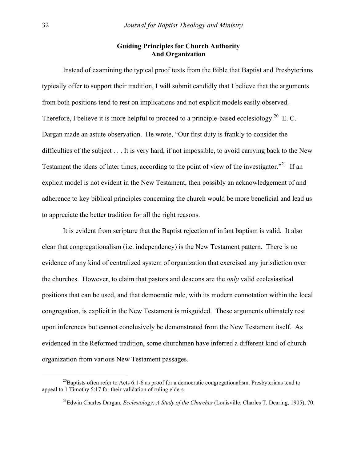# **Guiding Principles for Church Authority And Organization**

Instead of examining the typical proof texts from the Bible that Baptist and Presbyterians typically offer to support their tradition, I will submit candidly that I believe that the arguments from both positions tend to rest on implications and not explicit models easily observed. Therefore, I believe it is more helpful to proceed to a principle-based ecclesiology.<sup>20</sup> E. C. Dargan made an astute observation. He wrote, "Our first duty is frankly to consider the difficulties of the subject . . . It is very hard, if not impossible, to avoid carrying back to the New Testament the ideas of later times, according to the point of view of the investigator."<sup>21</sup> If an explicit model is not evident in the New Testament, then possibly an acknowledgement of and adherence to key biblical principles concerning the church would be more beneficial and lead us to appreciate the better tradition for all the right reasons.

It is evident from scripture that the Baptist rejection of infant baptism is valid. It also clear that congregationalism (i.e. independency) is the New Testament pattern. There is no evidence of any kind of centralized system of organization that exercised any jurisdiction over the churches. However, to claim that pastors and deacons are the *only* valid ecclesiastical positions that can be used, and that democratic rule, with its modern connotation within the local congregation, is explicit in the New Testament is misguided. These arguments ultimately rest upon inferences but cannot conclusively be demonstrated from the New Testament itself. As evidenced in the Reformed tradition, some churchmen have inferred a different kind of church organization from various New Testament passages.

<sup>&</sup>lt;sup>20</sup>Baptists often refer to Acts 6:1-6 as proof for a democratic congregationalism. Presbyterians tend to appeal to 1 Timothy 5:17 for their validation of ruling elders.

<span id="page-10-1"></span><span id="page-10-0"></span><sup>21</sup>Edwin Charles Dargan, *Ecclesiology: A Study of the Churches* (Louisville: Charles T. Dearing, 1905), 70.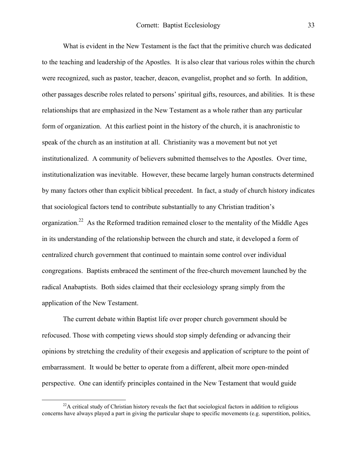<span id="page-11-0"></span>What is evident in the New Testament is the fact that the primitive church was dedicated to the teaching and leadership of the Apostles. It is also clear that various roles within the church were recognized, such as pastor, teacher, deacon, evangelist, prophet and so forth. In addition, other passages describe roles related to persons' spiritual gifts, resources, and abilities. It is these relationships that are emphasized in the New Testament as a whole rather than any particular form of organization. At this earliest point in the history of the church, it is anachronistic to speak of the church as an institution at all. Christianity was a movement but not yet institutionalized. A community of believers submitted themselves to the Apostles. Over time, institutionalization was inevitable. However, these became largely human constructs determined by many factors other than explicit biblical precedent. In fact, a study of church history indicates that sociological factors tend to contribute substantially to any Christian tradition's organization.<sup>22</sup> As the Reformed tradition remained closer to the mentality of the Middle Ages in its understanding of the relationship between the church and state, it developed a form of centralized church government that continued to maintain some control over individual congregations. Baptists embraced the sentiment of the free-church movement launched by the radical Anabaptists. Both sides claimed that their ecclesiology sprang simply from the application of the New Testament.

The current debate within Baptist life over proper church government should be refocused. Those with competing views should stop simply defending or advancing their opinions by stretching the credulity of their exegesis and application of scripture to the point of embarrassment. It would be better to operate from a different, albeit more open-minded perspective. One can identify principles contained in the New Testament that would guide

 $^{22}$ A critical study of Christian history reveals the fact that sociological factors in addition to religious concerns have always played a part in giving the particular shape to specific movements (e.g. superstition, politics,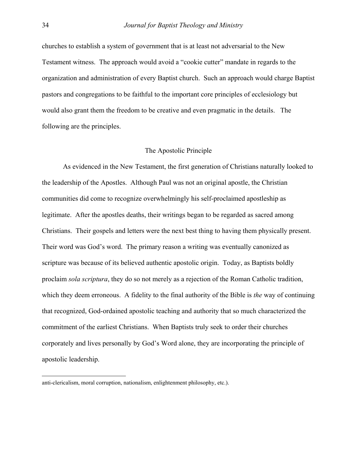churches to establish a system of government that is at least not adversarial to the New Testament witness. The approach would avoid a "cookie cutter" mandate in regards to the organization and administration of every Baptist church. Such an approach would charge Baptist pastors and congregations to be faithful to the important core principles of ecclesiology but would also grant them the freedom to be creative and even pragmatic in the details. The following are the principles.

#### The Apostolic Principle

As evidenced in the New Testament, the first generation of Christians naturally looked to the leadership of the Apostles. Although Paul was not an original apostle, the Christian communities did come to recognize overwhelmingly his self-proclaimed apostleship as legitimate. After the apostles deaths, their writings began to be regarded as sacred among Christians. Their gospels and letters were the next best thing to having them physically present. Their word was God's word. The primary reason a writing was eventually canonized as scripture was because of its believed authentic apostolic origin. Today, as Baptists boldly proclaim *sola scriptura*, they do so not merely as a rejection of the Roman Catholic tradition, which they deem erroneous. A fidelity to the final authority of the Bible is *the* way of continuing that recognized, God-ordained apostolic teaching and authority that so much characterized the commitment of the earliest Christians. When Baptists truly seek to order their churches corporately and lives personally by God's Word alone, they are incorporating the principle of apostolic leadership.

 $\overline{a}$ 

anti-clericalism, moral corruption, nationalism, enlightenment philosophy, etc.).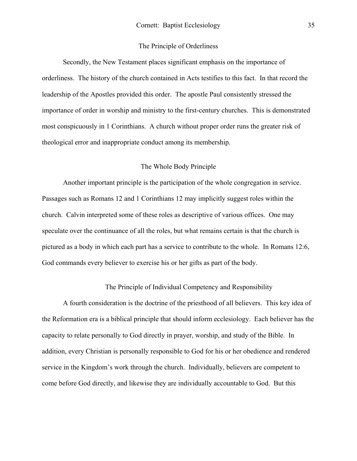### The Principle of Orderliness

Secondly, the New Testament places significant emphasis on the importance of orderliness. The history of the church contained in Acts testifies to this fact. In that record the leadership of the Apostles provided this order. The apostle Paul consistently stressed the importance of order in worship and ministry to the first-century churches. This is demonstrated most conspicuously in 1 Corinthians. A church without proper order runs the greater risk of theological error and inappropriate conduct among its membership.

## The Whole Body Principle

Another important principle is the participation of the whole congregation in service. Passages such as Romans 12 and 1 Corinthians 12 may implicitly suggest roles within the church. Calvin interpreted some of these roles as descriptive of various offices. One may speculate over the continuance of all the roles, but what remains certain is that the church is pictured as a body in which each part has a service to contribute to the whole. In Romans 12:6, God commands every believer to exercise his or her gifts as part of the body.

The Principle of Individual Competency and Responsibility

A fourth consideration is the doctrine of the priesthood of all believers. This key idea of the Reformation era is a biblical principle that should inform ecclesiology. Each believer has the capacity to relate personally to God directly in prayer, worship, and study of the Bible. In addition, every Christian is personally responsible to God for his or her obedience and rendered service in the Kingdom's work through the church. Individually, believers are competent to come before God directly, and likewise they are individually accountable to God. But this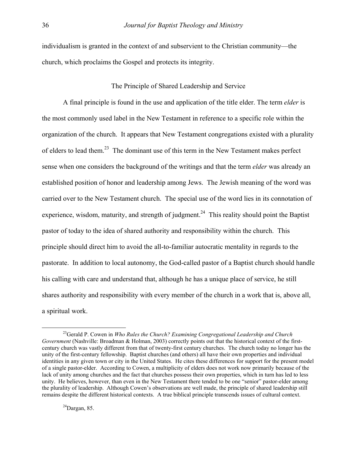individualism is granted in the context of and subservient to the Christian community—the church, which proclaims the Gospel and protects its integrity.

# The Principle of Shared Leadership and Service

A final principle is found in the use and application of the title elder. The term *elder* is the most commonly used label in the New Testament in reference to a specific role within the organization of the church. It appears that New Testament congregations existed with a plurality of elders to lead them.<sup>23</sup> The dominant use of this term in the New Testament makes perfect sense when one considers the background of the writings and that the term *elder* was already an established position of honor and leadership among Jews. The Jewish meaning of the word was carried over to the New Testament church. The special use of the word lies in its connotation of experience, wisdom, maturity, and strength of judgment.<sup>24</sup> This reality should point the Baptist pastor of today to the idea of shared authority and responsibility within the church. This principle should direct him to avoid the all-to-familiar autocratic mentality in regards to the pastorate. In addition to local autonomy, the God-called pastor of a Baptist church should handle his calling with care and understand that, although he has a unique place of service, he still shares authority and responsibility with every member of the church in a work that is, above all, a spiritual work.

<span id="page-14-1"></span> $^{24}$ Dargan, 85.

<span id="page-14-0"></span> <sup>23</sup>Gerald P. Cowen in *Who Rules the Church? Examining Congregational Leadership and Church Government* (Nashville: Broadman & Holman, 2003) correctly points out that the historical context of the firstcentury church was vastly different from that of twenty-first century churches. The church today no longer has the unity of the first-century fellowship. Baptist churches (and others) all have their own properties and individual identities in any given town or city in the United States. He cites these differences for support for the present model of a single pastor-elder. According to Cowen, a multiplicity of elders does not work now primarily because of the lack of unity among churches and the fact that churches possess their own properties, which in turn has led to less unity. He believes, however, than even in the New Testament there tended to be one "senior" pastor-elder among the plurality of leadership. Although Cowen's observations are well made, the principle of shared leadership still remains despite the different historical contexts. A true biblical principle transcends issues of cultural context.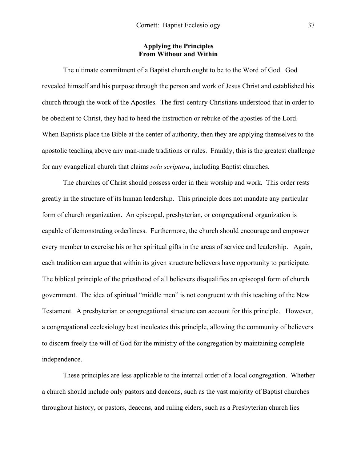## **Applying the Principles From Without and Within**

The ultimate commitment of a Baptist church ought to be to the Word of God. God revealed himself and his purpose through the person and work of Jesus Christ and established his church through the work of the Apostles. The first-century Christians understood that in order to be obedient to Christ, they had to heed the instruction or rebuke of the apostles of the Lord. When Baptists place the Bible at the center of authority, then they are applying themselves to the apostolic teaching above any man-made traditions or rules. Frankly, this is the greatest challenge for any evangelical church that claims *sola scriptura*, including Baptist churches.

The churches of Christ should possess order in their worship and work. This order rests greatly in the structure of its human leadership. This principle does not mandate any particular form of church organization. An episcopal, presbyterian, or congregational organization is capable of demonstrating orderliness. Furthermore, the church should encourage and empower every member to exercise his or her spiritual gifts in the areas of service and leadership. Again, each tradition can argue that within its given structure believers have opportunity to participate. The biblical principle of the priesthood of all believers disqualifies an episcopal form of church government. The idea of spiritual "middle men" is not congruent with this teaching of the New Testament. A presbyterian or congregational structure can account for this principle. However, a congregational ecclesiology best inculcates this principle, allowing the community of believers to discern freely the will of God for the ministry of the congregation by maintaining complete independence.

These principles are less applicable to the internal order of a local congregation. Whether a church should include only pastors and deacons, such as the vast majority of Baptist churches throughout history, or pastors, deacons, and ruling elders, such as a Presbyterian church lies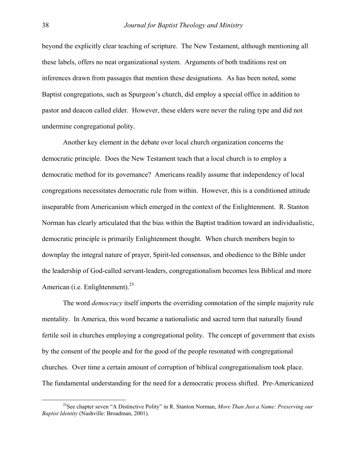beyond the explicitly clear teaching of scripture. The New Testament, although mentioning all these labels, offers no neat organizational system. Arguments of both traditions rest on inferences drawn from passages that mention these designations. As has been noted, some Baptist congregations, such as Spurgeon's church, did employ a special office in addition to pastor and deacon called elder. However, these elders were never the ruling type and did not undermine congregational polity.

Another key element in the debate over local church organization concerns the democratic principle. Does the New Testament teach that a local church is to employ a democratic method for its governance? Americans readily assume that independency of local congregations necessitates democratic rule from within. However, this is a conditioned attitude inseparable from Americanism which emerged in the context of the Enlightenment. R. Stanton Norman has clearly articulated that the bias within the Baptist tradition toward an individualistic, democratic principle is primarily Enlightenment thought. When church members begin to downplay the integral nature of prayer, Spirit-led consensus, and obedience to the Bible under the leadership of God-called servant-leaders, congregationalism becomes less Biblical and more American (i.e. Enlightenment).<sup>25</sup>

The word *democracy* itself imports the overriding connotation of the simple majority rule mentality. In America, this word became a nationalistic and sacred term that naturally found fertile soil in churches employing a congregational polity. The concept of government that exists by the consent of the people and for the good of the people resonated with congregational churches. Over time a certain amount of corruption of biblical congregationalism took place. The fundamental understanding for the need for a democratic process shifted. Pre-Americanized

<span id="page-16-0"></span> <sup>25</sup>See chapter seven "A Distinctive Polity" in R. Stanton Norman, *More Than Just a Name: Preserving our Baptist Identity* (Nashville: Broadman, 2001).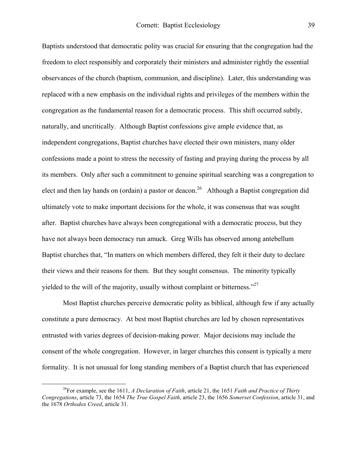Baptists understood that democratic polity was crucial for ensuring that the congregation had the freedom to elect responsibly and corporately their ministers and administer rightly the essential observances of the church (baptism, communion, and discipline). Later, this understanding was replaced with a new emphasis on the individual rights and privileges of the members within the congregation as the fundamental reason for a democratic process. This shift occurred subtly, naturally, and uncritically. Although Baptist confessions give ample evidence that, as independent congregations, Baptist churches have elected their own ministers, many older confessions made a point to stress the necessity of fasting and praying during the process by all its members. Only after such a commitment to genuine spiritual searching was a congregation to elect and then lay hands on (ordain) a pastor or deacon.<sup>26</sup> Although a Baptist congregation did ultimately vote to make important decisions for the whole, it was consensus that was sought after. Baptist churches have always been congregational with a democratic process, but they have not always been democracy run amuck. Greg Wills has observed among antebellum Baptist churches that, "In matters on which members differed, they felt it their duty to declare their views and their reasons for them. But they sought consensus. The minority typically yielded to the will of the majority, usually without complaint or bitterness." $27$ 

<span id="page-17-1"></span>Most Baptist churches perceive democratic polity as biblical, although few if any actually constitute a pure democracy. At best most Baptist churches are led by chosen representatives entrusted with varies degrees of decision-making power. Major decisions may include the consent of the whole congregation. However, in larger churches this consent is typically a mere formality. It is not unusual for long standing members of a Baptist church that has experienced

<span id="page-17-0"></span> <sup>26</sup>For example, see the 1611, *A Declaration of Faith*, article 21, the 1651 *Faith and Practice of Thirty Congregations*, article 73, the 1654 *The True Gospel Faith*, article 23, the 1656 *Somerset Confession*, article 31, and the 1678 *Orthodox Creed*, article 31.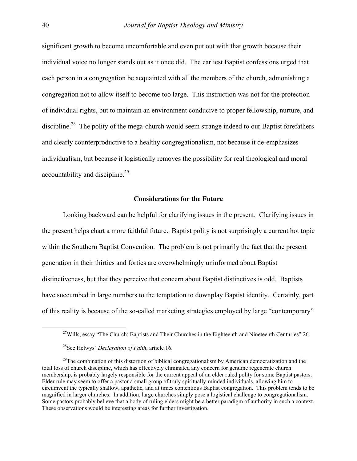significant growth to become uncomfortable and even put out with that growth because their individual voice no longer stands out as it once did. The earliest Baptist confessions urged that each person in a congregation be acquainted with all the members of the church, admonishing a congregation not to allow itself to become too large. This instruction was not for the protection of individual rights, but to maintain an environment conducive to proper fellowship, nurture, and discipline.<sup>28</sup> The polity of the mega-church would seem strange indeed to our Baptist forefathers and clearly counterproductive to a healthy congregationalism, not because it de-emphasizes individualism, but because it logistically removes the possibility for real theological and moral accountability and discipline.<sup>29</sup>

## **Considerations for the Future**

 Looking backward can be helpful for clarifying issues in the present. Clarifying issues in the present helps chart a more faithful future. Baptist polity is not surprisingly a current hot topic within the Southern Baptist Convention. The problem is not primarily the fact that the present generation in their thirties and forties are overwhelmingly uninformed about Baptist distinctiveness, but that they perceive that concern about Baptist distinctives is odd. Baptists have succumbed in large numbers to the temptation to downplay Baptist identity. Certainly, part of this reality is because of the so-called marketing strategies employed by large "contemporary"

<sup>&</sup>lt;sup>27</sup>Wills, essay "The Church: Baptists and Their Churches in the Eighteenth and Nineteenth Centuries" 26.

<span id="page-18-1"></span><span id="page-18-0"></span><sup>28</sup>See Helwys' *Declaration of Faith*, article 16.

 $29$ The combination of this distortion of biblical congregationalism by American democratization and the total loss of church discipline, which has effectively eliminated any concern for genuine regenerate church membership, is probably largely responsible for the current appeal of an elder ruled polity for some Baptist pastors. Elder rule may seem to offer a pastor a small group of truly spiritually-minded individuals, allowing him to circumvent the typically shallow, apathetic, and at times contentious Baptist congregation. This problem tends to be magnified in larger churches. In addition, large churches simply pose a logistical challenge to congregationalism. Some pastors probably believe that a body of ruling elders might be a better paradigm of authority in such a context. These observations would be interesting areas for further investigation.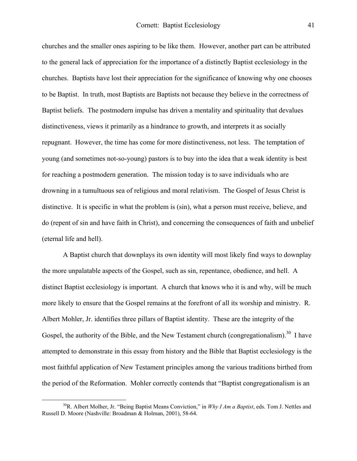churches and the smaller ones aspiring to be like them. However, another part can be attributed to the general lack of appreciation for the importance of a distinctly Baptist ecclesiology in the churches. Baptists have lost their appreciation for the significance of knowing why one chooses to be Baptist. In truth, most Baptists are Baptists not because they believe in the correctness of Baptist beliefs. The postmodern impulse has driven a mentality and spirituality that devalues distinctiveness, views it primarily as a hindrance to growth, and interprets it as socially repugnant. However, the time has come for more distinctiveness, not less. The temptation of young (and sometimes not-so-young) pastors is to buy into the idea that a weak identity is best for reaching a postmodern generation. The mission today is to save individuals who are drowning in a tumultuous sea of religious and moral relativism. The Gospel of Jesus Christ is distinctive. It is specific in what the problem is (sin), what a person must receive, believe, and do (repent of sin and have faith in Christ), and concerning the consequences of faith and unbelief (eternal life and hell).

 A Baptist church that downplays its own identity will most likely find ways to downplay the more unpalatable aspects of the Gospel, such as sin, repentance, obedience, and hell. A distinct Baptist ecclesiology is important. A church that knows who it is and why, will be much more likely to ensure that the Gospel remains at the forefront of all its worship and ministry. R. Albert Mohler, Jr. identifies three pillars of Baptist identity. These are the integrity of the Gospel, the authority of the Bible, and the New Testament church (congregationalism).<sup>30</sup> I have attempted to demonstrate in this essay from history and the Bible that Baptist ecclesiology is the most faithful application of New Testament principles among the various traditions birthed from the period of the Reformation. Mohler correctly contends that "Baptist congregationalism is an

<span id="page-19-0"></span> <sup>30</sup>R. Albert Molher, Jr. "Being Baptist Means Conviction," in *Why I Am a Baptist*, eds. Tom J. Nettles and Russell D. Moore (Nashville: Broadman & Holman, 2001), 58-64.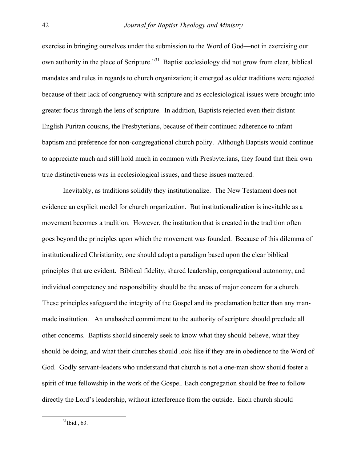exercise in bringing ourselves under the submission to the Word of God—not in exercising our own authority in the place of Scripture."[31](#page-20-0) Baptist ecclesiology did not grow from clear, biblical mandates and rules in regards to church organization; it emerged as older traditions were rejected because of their lack of congruency with scripture and as ecclesiological issues were brought into greater focus through the lens of scripture. In addition, Baptists rejected even their distant English Puritan cousins, the Presbyterians, because of their continued adherence to infant baptism and preference for non-congregational church polity. Although Baptists would continue to appreciate much and still hold much in common with Presbyterians, they found that their own true distinctiveness was in ecclesiological issues, and these issues mattered.

<span id="page-20-0"></span> Inevitably, as traditions solidify they institutionalize. The New Testament does not evidence an explicit model for church organization. But institutionalization is inevitable as a movement becomes a tradition. However, the institution that is created in the tradition often goes beyond the principles upon which the movement was founded. Because of this dilemma of institutionalized Christianity, one should adopt a paradigm based upon the clear biblical principles that are evident. Biblical fidelity, shared leadership, congregational autonomy, and individual competency and responsibility should be the areas of major concern for a church. These principles safeguard the integrity of the Gospel and its proclamation better than any manmade institution. An unabashed commitment to the authority of scripture should preclude all other concerns. Baptists should sincerely seek to know what they should believe, what they should be doing, and what their churches should look like if they are in obedience to the Word of God. Godly servant-leaders who understand that church is not a one-man show should foster a spirit of true fellowship in the work of the Gospel. Each congregation should be free to follow directly the Lord's leadership, without interference from the outside. Each church should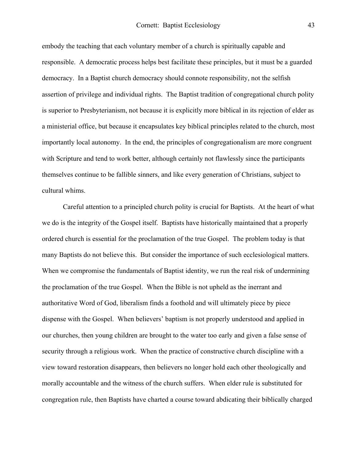embody the teaching that each voluntary member of a church is spiritually capable and responsible. A democratic process helps best facilitate these principles, but it must be a guarded democracy. In a Baptist church democracy should connote responsibility, not the selfish assertion of privilege and individual rights. The Baptist tradition of congregational church polity is superior to Presbyterianism, not because it is explicitly more biblical in its rejection of elder as a ministerial office, but because it encapsulates key biblical principles related to the church, most importantly local autonomy. In the end, the principles of congregationalism are more congruent with Scripture and tend to work better, although certainly not flawlessly since the participants themselves continue to be fallible sinners, and like every generation of Christians, subject to cultural whims.

Careful attention to a principled church polity is crucial for Baptists. At the heart of what we do is the integrity of the Gospel itself. Baptists have historically maintained that a properly ordered church is essential for the proclamation of the true Gospel. The problem today is that many Baptists do not believe this. But consider the importance of such ecclesiological matters. When we compromise the fundamentals of Baptist identity, we run the real risk of undermining the proclamation of the true Gospel. When the Bible is not upheld as the inerrant and authoritative Word of God, liberalism finds a foothold and will ultimately piece by piece dispense with the Gospel. When believers' baptism is not properly understood and applied in our churches, then young children are brought to the water too early and given a false sense of security through a religious work. When the practice of constructive church discipline with a view toward restoration disappears, then believers no longer hold each other theologically and morally accountable and the witness of the church suffers. When elder rule is substituted for congregation rule, then Baptists have charted a course toward abdicating their biblically charged